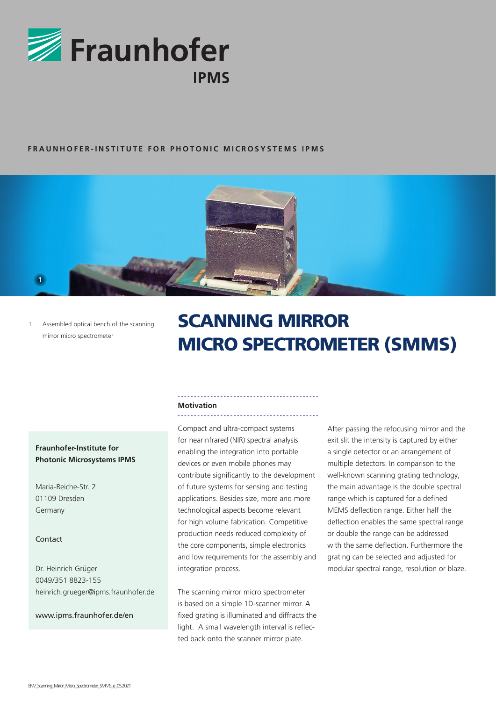

# **FRAUNHOFER-INSTITUTE FOR PHOTONIC MICROSYSTEMS IPMS**



**1** Assembled optical bench of the scanning mirror micro spectrometer

# SCANNING MIRROR MICRO SPECTROMETER (SMMS)

# **Motivation**

Compact and ultra-compact systems for nearinfrared (NIR) spectral analysis enabling the integration into portable devices or even mobile phones may contribute significantly to the development of future systems for sensing and testing applications. Besides size, more and more technological aspects become relevant for high volume fabrication. Competitive production needs reduced complexity of the core components, simple electronics and low requirements for the assembly and integration process.

The scanning mirror micro spectrometer is based on a simple 1D-scanner mirror. A fixed grating is illuminated and diffracts the light. A small wavelength interval is reflected back onto the scanner mirror plate.

After passing the refocusing mirror and the exit slit the intensity is captured by either a single detector or an arrangement of multiple detectors. In comparison to the well-known scanning grating technology, the main advantage is the double spectral range which is captured for a defined MEMS deflection range. Either half the deflection enables the same spectral range or double the range can be addressed with the same deflection. Furthermore the grating can be selected and adjusted for modular spectral range, resolution or blaze.

# **Fraunhofer-Institute for Photonic Microsystems IPMS**

Maria-Reiche-Str. 2 01109 Dresden Germany

# Contact

Dr. Heinrich Grüger 0049/351 8823-155 heinrich.grueger@ipms.fraunhofer.de

www.ipms.fraunhofer.de/en